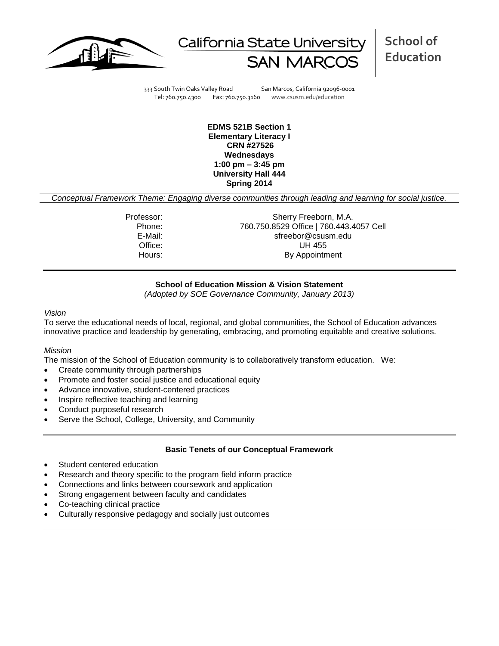



333 South Twin Oaks Valley Road San Marcos, California 92096-0001 Tel: 760.750.4300 Fax: 760.750.3160 www.csusm.edu/education

**EDMS 521B Section 1 Elementary Literacy I CRN #27526 Wednesdays 1:00 pm – 3:45 pm University Hall 444 Spring 2014** 

*Conceptual Framework Theme: Engaging diverse communities through leading and learning for social justice.*

Professor: Sherry Freeborn, M.A. Phone: 760.750.8529 Office | 760.443.4057 Cell E-Mail: sfreebor@csusm.edu Office: UH 455 Hours: By Appointment

# **School of Education Mission & Vision Statement**

*(Adopted by SOE Governance Community, January 2013)*

#### *Vision*

To serve the educational needs of local, regional, and global communities, the School of Education advances innovative practice and leadership by generating, embracing, and promoting equitable and creative solutions.

#### *Mission*

The mission of the School of Education community is to collaboratively transform education. We:

- Create community through partnerships
- Promote and foster social justice and educational equity
- Advance innovative, student-centered practices
- Inspire reflective teaching and learning
- Conduct purposeful research
- Serve the School, College, University, and Community

#### **Basic Tenets of our Conceptual Framework**

- Student centered education
- Research and theory specific to the program field inform practice
- Connections and links between coursework and application
- Strong engagement between faculty and candidates
- Co-teaching clinical practice
- Culturally responsive pedagogy and socially just outcomes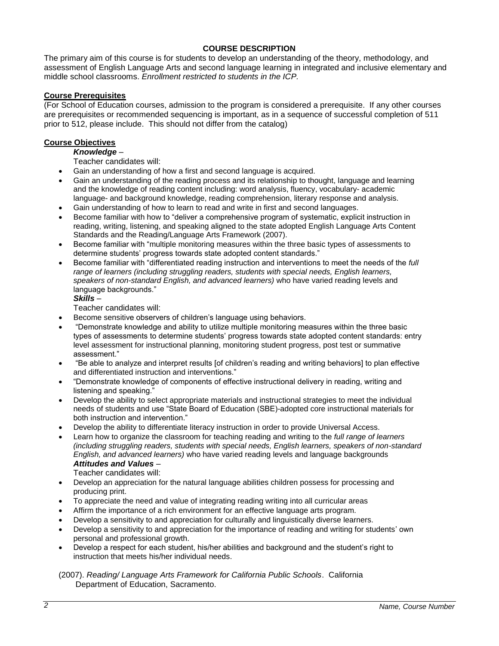# **COURSE DESCRIPTION**

The primary aim of this course is for students to develop an understanding of the theory, methodology, and assessment of English Language Arts and second language learning in integrated and inclusive elementary and middle school classrooms. *Enrollment restricted to students in the ICP.*

## **Course Prerequisites**

(For School of Education courses, admission to the program is considered a prerequisite. If any other courses are prerequisites or recommended sequencing is important, as in a sequence of successful completion of 511 prior to 512, please include. This should not differ from the catalog)

## **Course Objectives**

# *Knowledge* –

Teacher candidates will:

- Gain an understanding of how a first and second language is acquired.
- Gain an understanding of the reading process and its relationship to thought, language and learning and the knowledge of reading content including: word analysis, fluency, vocabulary- academic language- and background knowledge, reading comprehension, literary response and analysis.
- Gain understanding of how to learn to read and write in first and second languages.
- Become familiar with how to "deliver a comprehensive program of systematic, explicit instruction in reading, writing, listening, and speaking aligned to the state adopted English Language Arts Content Standards and the Reading/Language Arts Framework (2007).
- Become familiar with "multiple monitoring measures within the three basic types of assessments to determine students' progress towards state adopted content standards."
- Become familiar with "differentiated reading instruction and interventions to meet the needs of the *full range of learners (including struggling readers, students with special needs, English learners, speakers of non-standard English, and advanced learners)* who have varied reading levels and language backgrounds."

# *Skills* –

Teacher candidates will:

- Become sensitive observers of children's language using behaviors.
- "Demonstrate knowledge and ability to utilize multiple monitoring measures within the three basic types of assessments to determine students' progress towards state adopted content standards: entry level assessment for instructional planning, monitoring student progress, post test or summative assessment."
- "Be able to analyze and interpret results [of children's reading and writing behaviors] to plan effective and differentiated instruction and interventions."
- "Demonstrate knowledge of components of effective instructional delivery in reading, writing and listening and speaking."
- Develop the ability to select appropriate materials and instructional strategies to meet the individual needs of students and use "State Board of Education (SBE)-adopted core instructional materials for both instruction and intervention."
- Develop the ability to differentiate literacy instruction in order to provide Universal Access.
- Learn how to organize the classroom for teaching reading and writing to the *full range of learners (including struggling readers, students with special needs, English learners, speakers of non-standard English, and advanced learners)* who have varied reading levels and language backgrounds *Attitudes and Values* –

Teacher candidates will:

- Develop an appreciation for the natural language abilities children possess for processing and producing print.
- To appreciate the need and value of integrating reading writing into all curricular areas
- Affirm the importance of a rich environment for an effective language arts program.
- Develop a sensitivity to and appreciation for culturally and linguistically diverse learners.
- Develop a sensitivity to and appreciation for the importance of reading and writing for students' own personal and professional growth.
- Develop a respect for each student, his/her abilities and background and the student's right to instruction that meets his/her individual needs.

(2007). *Reading/ Language Arts Framework for California Public Schools*. California Department of Education, Sacramento.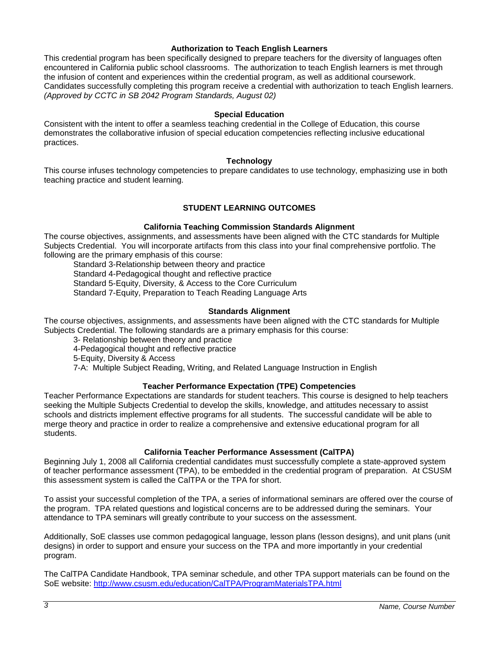#### **Authorization to Teach English Learners**

This credential program has been specifically designed to prepare teachers for the diversity of languages often encountered in California public school classrooms. The authorization to teach English learners is met through the infusion of content and experiences within the credential program, as well as additional coursework. Candidates successfully completing this program receive a credential with authorization to teach English learners. *(Approved by CCTC in SB 2042 Program Standards, August 02)*

## **Special Education**

Consistent with the intent to offer a seamless teaching credential in the College of Education, this course demonstrates the collaborative infusion of special education competencies reflecting inclusive educational practices.

#### **Technology**

This course infuses technology competencies to prepare candidates to use technology, emphasizing use in both teaching practice and student learning.

# **STUDENT LEARNING OUTCOMES**

## **California Teaching Commission Standards Alignment**

The course objectives, assignments, and assessments have been aligned with the CTC standards for Multiple Subjects Credential. You will incorporate artifacts from this class into your final comprehensive portfolio. The following are the primary emphasis of this course:

Standard 3-Relationship between theory and practice Standard 4-Pedagogical thought and reflective practice Standard 5-Equity, Diversity, & Access to the Core Curriculum Standard 7-Equity, Preparation to Teach Reading Language Arts

## **Standards Alignment**

The course objectives, assignments, and assessments have been aligned with the CTC standards for Multiple Subjects Credential. The following standards are a primary emphasis for this course:

3- Relationship between theory and practice

4-Pedagogical thought and reflective practice

5-Equity, Diversity & Access

7-A: Multiple Subject Reading, Writing, and Related Language Instruction in English

# **Teacher Performance Expectation (TPE) Competencies**

Teacher Performance Expectations are standards for student teachers. This course is designed to help teachers seeking the Multiple Subjects Credential to develop the skills, knowledge, and attitudes necessary to assist schools and districts implement effective programs for all students. The successful candidate will be able to merge theory and practice in order to realize a comprehensive and extensive educational program for all students.

# **California Teacher Performance Assessment (CalTPA)**

Beginning July 1, 2008 all California credential candidates must successfully complete a state-approved system of teacher performance assessment (TPA), to be embedded in the credential program of preparation. At CSUSM this assessment system is called the CalTPA or the TPA for short.

To assist your successful completion of the TPA, a series of informational seminars are offered over the course of the program. TPA related questions and logistical concerns are to be addressed during the seminars. Your attendance to TPA seminars will greatly contribute to your success on the assessment.

Additionally, SoE classes use common pedagogical language, lesson plans (lesson designs), and unit plans (unit designs) in order to support and ensure your success on the TPA and more importantly in your credential program.

The CalTPA Candidate Handbook, TPA seminar schedule, and other TPA support materials can be found on the SoE website: <http://www.csusm.edu/education/CalTPA/ProgramMaterialsTPA.html>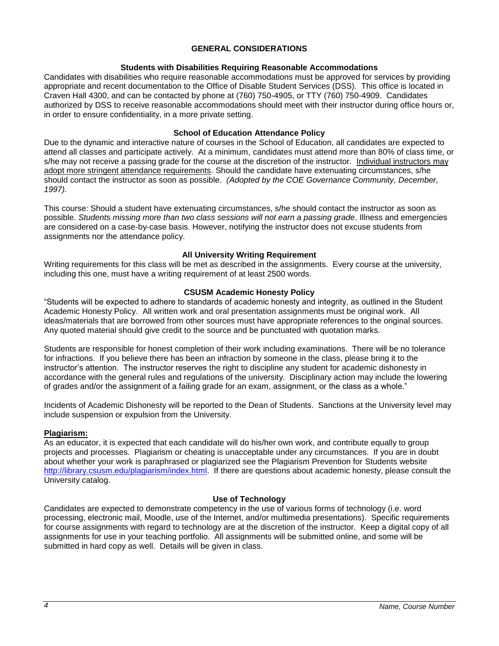## **GENERAL CONSIDERATIONS**

## **Students with Disabilities Requiring Reasonable Accommodations**

Candidates with disabilities who require reasonable accommodations must be approved for services by providing appropriate and recent documentation to the Office of Disable Student Services (DSS). This office is located in Craven Hall 4300, and can be contacted by phone at (760) 750-4905, or TTY (760) 750-4909. Candidates authorized by DSS to receive reasonable accommodations should meet with their instructor during office hours or, in order to ensure confidentiality, in a more private setting.

## **School of Education Attendance Policy**

Due to the dynamic and interactive nature of courses in the School of Education, all candidates are expected to attend all classes and participate actively. At a minimum, candidates must attend more than 80% of class time, or s/he may not receive a passing grade for the course at the discretion of the instructor. Individual instructors may adopt more stringent attendance requirements. Should the candidate have extenuating circumstances, s/he should contact the instructor as soon as possible. *(Adopted by the COE Governance Community, December, 1997).*

This course: Should a student have extenuating circumstances, s/he should contact the instructor as soon as possible. *Students missing more than two class sessions will not earn a passing grade*. Illness and emergencies are considered on a case-by-case basis. However, notifying the instructor does not excuse students from assignments nor the attendance policy.

## **All University Writing Requirement**

Writing requirements for this class will be met as described in the assignments. Every course at the university, including this one, must have a writing requirement of at least 2500 words.

## **CSUSM Academic Honesty Policy**

"Students will be expected to adhere to standards of academic honesty and integrity, as outlined in the Student Academic Honesty Policy. All written work and oral presentation assignments must be original work. All ideas/materials that are borrowed from other sources must have appropriate references to the original sources. Any quoted material should give credit to the source and be punctuated with quotation marks.

Students are responsible for honest completion of their work including examinations. There will be no tolerance for infractions. If you believe there has been an infraction by someone in the class, please bring it to the instructor's attention. The instructor reserves the right to discipline any student for academic dishonesty in accordance with the general rules and regulations of the university. Disciplinary action may include the lowering of grades and/or the assignment of a failing grade for an exam, assignment, or the class as a whole."

Incidents of Academic Dishonesty will be reported to the Dean of Students. Sanctions at the University level may include suspension or expulsion from the University.

#### **Plagiarism:**

As an educator, it is expected that each candidate will do his/her own work, and contribute equally to group projects and processes. Plagiarism or cheating is unacceptable under any circumstances. If you are in doubt about whether your work is paraphrased or plagiarized see the Plagiarism Prevention for Students website [http://library.csusm.edu/plagiarism/index.html.](http://library.csusm.edu/plagiarism/index.html) If there are questions about academic honesty, please consult the University catalog.

#### **Use of Technology**

Candidates are expected to demonstrate competency in the use of various forms of technology (i.e. word processing, electronic mail, Moodle, use of the Internet, and/or multimedia presentations). Specific requirements for course assignments with regard to technology are at the discretion of the instructor. Keep a digital copy of all assignments for use in your teaching portfolio. All assignments will be submitted online, and some will be submitted in hard copy as well. Details will be given in class.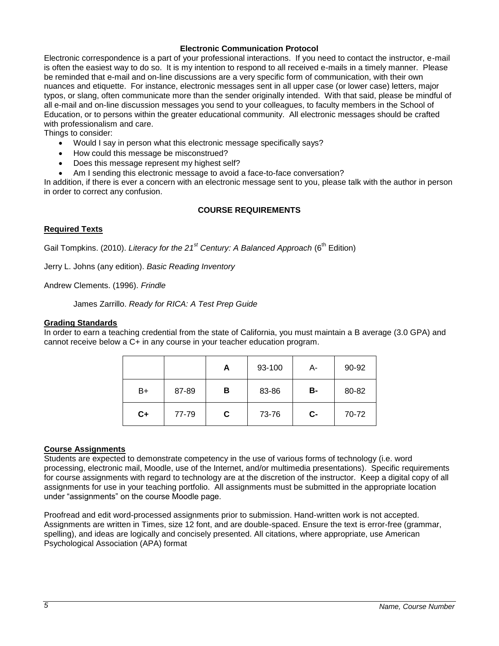#### **Electronic Communication Protocol**

Electronic correspondence is a part of your professional interactions. If you need to contact the instructor, e-mail is often the easiest way to do so. It is my intention to respond to all received e-mails in a timely manner. Please be reminded that e-mail and on-line discussions are a very specific form of communication, with their own nuances and etiquette. For instance, electronic messages sent in all upper case (or lower case) letters, major typos, or slang, often communicate more than the sender originally intended. With that said, please be mindful of all e-mail and on-line discussion messages you send to your colleagues, to faculty members in the School of Education, or to persons within the greater educational community. All electronic messages should be crafted with professionalism and care.

Things to consider:

- Would I say in person what this electronic message specifically says?
- How could this message be misconstrued?
- Does this message represent my highest self?
- Am I sending this electronic message to avoid a face-to-face conversation?

In addition, if there is ever a concern with an electronic message sent to you, please talk with the author in person in order to correct any confusion.

## **COURSE REQUIREMENTS**

## **Required Texts**

Gail Tompkins. (2010). *Literacy for the 21<sup>st</sup> Century: A Balanced Approach* (6<sup>th</sup> Edition)

Jerry L. Johns (any edition). *Basic Reading Inventory*

Andrew Clements. (1996). *Frindle*

James Zarrillo. *Ready for RICA: A Test Prep Guide*

#### **Grading Standards**

In order to earn a teaching credential from the state of California, you must maintain a B average (3.0 GPA) and cannot receive below a C+ in any course in your teacher education program.

|      |       | A | 93-100 | А-   | 90-92 |
|------|-------|---|--------|------|-------|
| B+   | 87-89 | в | 83-86  | В-   | 80-82 |
| $C+$ | 77-79 | C | 73-76  | $c-$ | 70-72 |

#### **Course Assignments**

Students are expected to demonstrate competency in the use of various forms of technology (i.e. word processing, electronic mail, Moodle, use of the Internet, and/or multimedia presentations). Specific requirements for course assignments with regard to technology are at the discretion of the instructor. Keep a digital copy of all assignments for use in your teaching portfolio. All assignments must be submitted in the appropriate location under "assignments" on the course Moodle page.

Proofread and edit word-processed assignments prior to submission. Hand-written work is not accepted. Assignments are written in Times, size 12 font, and are double-spaced. Ensure the text is error-free (grammar, spelling), and ideas are logically and concisely presented. All citations, where appropriate, use American Psychological Association (APA) format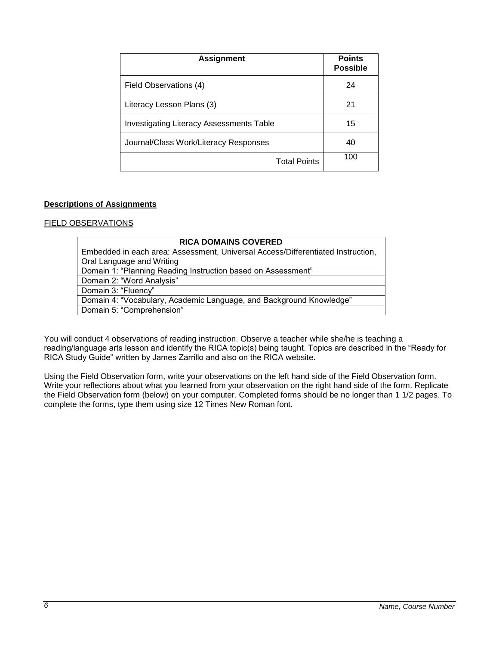| <b>Assignment</b>                               | <b>Points</b><br><b>Possible</b> |
|-------------------------------------------------|----------------------------------|
| Field Observations (4)                          | 24                               |
| Literacy Lesson Plans (3)                       | 21                               |
| <b>Investigating Literacy Assessments Table</b> | 15                               |
| Journal/Class Work/Literacy Responses           | 40                               |
| <b>Total Points</b>                             | 100                              |

# **Descriptions of Assignments**

# FIELD OBSERVATIONS

| <b>RICA DOMAINS COVERED</b>                                                     |  |  |  |
|---------------------------------------------------------------------------------|--|--|--|
| Embedded in each area: Assessment, Universal Access/Differentiated Instruction, |  |  |  |
| Oral Language and Writing                                                       |  |  |  |
| Domain 1: "Planning Reading Instruction based on Assessment"                    |  |  |  |
| Domain 2: "Word Analysis"                                                       |  |  |  |
| Domain 3: "Fluency"                                                             |  |  |  |
| Domain 4: "Vocabulary, Academic Language, and Background Knowledge"             |  |  |  |
| Domain 5: "Comprehension"                                                       |  |  |  |

You will conduct 4 observations of reading instruction. Observe a teacher while she/he is teaching a reading/language arts lesson and identify the RICA topic(s) being taught. Topics are described in the "Ready for RICA Study Guide" written by James Zarrillo and also on the RICA website.

Using the Field Observation form, write your observations on the left hand side of the Field Observation form. Write your reflections about what you learned from your observation on the right hand side of the form. Replicate the Field Observation form (below) on your computer. Completed forms should be no longer than 1 1/2 pages. To complete the forms, type them using size 12 Times New Roman font.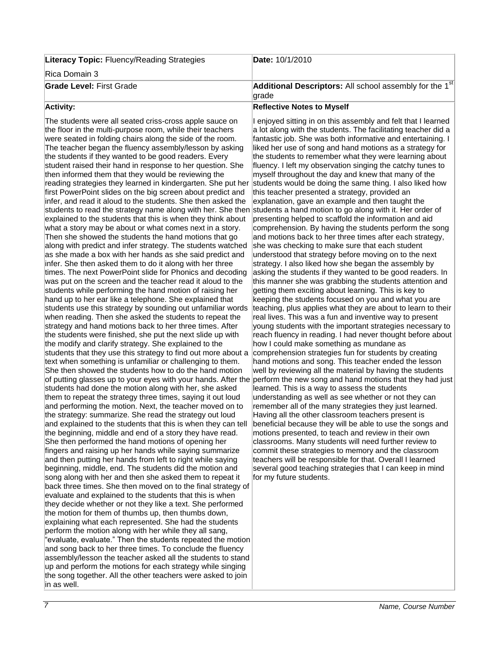| <b>Literacy Topic: Fluency/Reading Strategies</b> | Date: 10/1/2010                                                                  |
|---------------------------------------------------|----------------------------------------------------------------------------------|
| Rica Domain 3                                     |                                                                                  |
| <b>Grade Level: First Grade</b>                   | <b>Additional Descriptors:</b> All school assembly for the $1st$<br><b>grade</b> |
| <b>Activity:</b>                                  | <b>Reflective Notes to Myself</b>                                                |

#### The students were all seated criss-cross apple sauce on the floor in the multi-purpose room, while their teachers were seated in folding chairs along the side of the room. The teacher began the fluency assembly/lesson by asking the students if they wanted to be good readers. Every student raised their hand in response to her question. She then informed them that they would be reviewing the reading strategies they learned in kindergarten. She put her first PowerPoint slides on the big screen about predict and infer, and read it aloud to the students. She then asked the students to read the strategy name along with her. She then students a hand motion to go along with it. Her order of explained to the students that this is when they think about what a story may be about or what comes next in a story. Then she showed the students the hand motions that go along with predict and infer strategy. The students watched as she made a box with her hands as she said predict and infer. She then asked them to do it along with her three times. The next PowerPoint slide for Phonics and decoding was put on the screen and the teacher read it aloud to the students while performing the hand motion of raising her hand up to her ear like a telephone. She explained that students use this strategy by sounding out unfamiliar words when reading. Then she asked the students to repeat the strategy and hand motions back to her three times. After the students were finished, she put the next slide up with the modify and clarify strategy. She explained to the students that they use this strategy to find out more about a text when something is unfamiliar or challenging to them. She then showed the students how to do the hand motion of putting glasses up to your eyes with your hands. After the perform the new song and hand motions that they had just students had done the motion along with her, she asked them to repeat the strategy three times, saying it out loud and performing the motion. Next, the teacher moved on to the strategy: summarize. She read the strategy out loud and explained to the students that this is when they can tell the beginning, middle and end of a story they have read. She then performed the hand motions of opening her fingers and raising up her hands while saying summarize and then putting her hands from left to right while saying beginning, middle, end. The students did the motion and song along with her and then she asked them to repeat it back three times. She then moved on to the final strategy of evaluate and explained to the students that this is when they decide whether or not they like a text. She performed the motion for them of thumbs up, then thumbs down, explaining what each represented. She had the students perform the motion along with her while they all sang, "evaluate, evaluate." Then the students repeated the motion and song back to her three times. To conclude the fluency assembly/lesson the teacher asked all the students to stand up and perform the motions for each strategy while singing the song together. All the other teachers were asked to join in as well.

enjoyed sitting in on this assembly and felt that I learned a lot along with the students. The facilitating teacher did a fantastic job. She was both informative and entertaining. I liked her use of song and hand motions as a strategy for the students to remember what they were learning about fluency. I left my observation singing the catchy tunes to myself throughout the day and knew that many of the students would be doing the same thing. I also liked how this teacher presented a strategy, provided an explanation, gave an example and then taught the presenting helped to scaffold the information and aid comprehension. By having the students perform the song and motions back to her three times after each strategy, she was checking to make sure that each student understood that strategy before moving on to the next strategy. I also liked how she began the assembly by asking the students if they wanted to be good readers. In this manner she was grabbing the students attention and getting them exciting about learning. This is key to keeping the students focused on you and what you are teaching, plus applies what they are about to learn to their real lives. This was a fun and inventive way to present young students with the important strategies necessary to reach fluency in reading. I had never thought before about how I could make something as mundane as comprehension strategies fun for students by creating hand motions and song. This teacher ended the lesson well by reviewing all the material by having the students learned. This is a way to assess the students understanding as well as see whether or not they can remember all of the many strategies they just learned. Having all the other classroom teachers present is beneficial because they will be able to use the songs and motions presented, to teach and review in their own classrooms. Many students will need further review to commit these strategies to memory and the classroom teachers will be responsible for that. Overall I learned several good teaching strategies that I can keep in mind for my future students.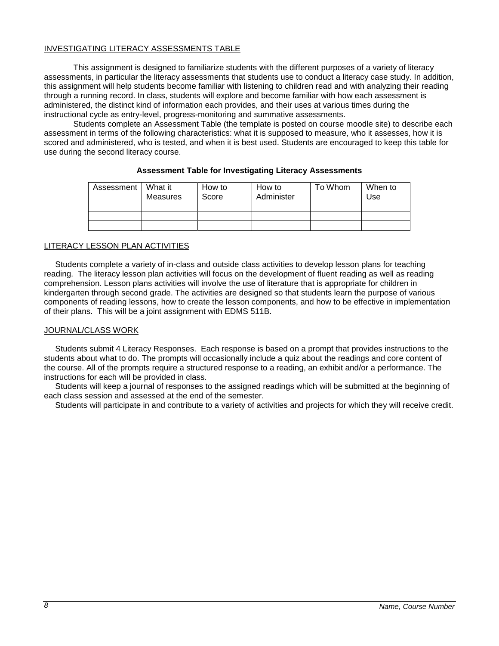## INVESTIGATING LITERACY ASSESSMENTS TABLE

This assignment is designed to familiarize students with the different purposes of a variety of literacy assessments, in particular the literacy assessments that students use to conduct a literacy case study. In addition, this assignment will help students become familiar with listening to children read and with analyzing their reading through a running record. In class, students will explore and become familiar with how each assessment is administered, the distinct kind of information each provides, and their uses at various times during the instructional cycle as entry-level, progress-monitoring and summative assessments.

Students complete an Assessment Table (the template is posted on course moodle site) to describe each assessment in terms of the following characteristics: what it is supposed to measure, who it assesses, how it is scored and administered, who is tested, and when it is best used. Students are encouraged to keep this table for use during the second literacy course.

| Assessment I | What it<br>Measures | How to<br>Score | How to<br>Administer | To Whom | When to<br>Use |
|--------------|---------------------|-----------------|----------------------|---------|----------------|
|              |                     |                 |                      |         |                |
|              |                     |                 |                      |         |                |

## **Assessment Table for Investigating Literacy Assessments**

## LITERACY LESSON PLAN ACTIVITIES

 Students complete a variety of in-class and outside class activities to develop lesson plans for teaching reading. The literacy lesson plan activities will focus on the development of fluent reading as well as reading comprehension. Lesson plans activities will involve the use of literature that is appropriate for children in kindergarten through second grade. The activities are designed so that students learn the purpose of various components of reading lessons, how to create the lesson components, and how to be effective in implementation of their plans. This will be a joint assignment with EDMS 511B.

#### JOURNAL/CLASS WORK

 Students submit 4 Literacy Responses. Each response is based on a prompt that provides instructions to the students about what to do. The prompts will occasionally include a quiz about the readings and core content of the course. All of the prompts require a structured response to a reading, an exhibit and/or a performance. The instructions for each will be provided in class.

 Students will keep a journal of responses to the assigned readings which will be submitted at the beginning of each class session and assessed at the end of the semester.

Students will participate in and contribute to a variety of activities and projects for which they will receive credit.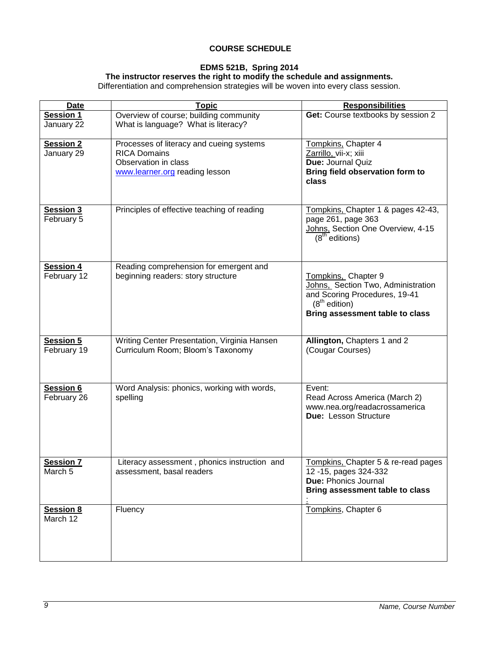# **COURSE SCHEDULE**

# **EDMS 521B, Spring 2014**

#### **The instructor reserves the right to modify the schedule and assignments.**

Differentiation and comprehension strategies will be woven into every class session.

| <b>Date</b>                     | <b>Topic</b>                                                                                                              | <b>Responsibilities</b>                                                                                                                          |
|---------------------------------|---------------------------------------------------------------------------------------------------------------------------|--------------------------------------------------------------------------------------------------------------------------------------------------|
| Session 1<br>January 22         | Overview of course; building community<br>What is language? What is literacy?                                             | Get: Course textbooks by session 2                                                                                                               |
| <b>Session 2</b><br>January 29  | Processes of literacy and cueing systems<br><b>RICA Domains</b><br>Observation in class<br>www.learner.org reading lesson | Tompkins, Chapter 4<br>Zarrillo, vii-x; xiii<br>Due: Journal Quiz<br>Bring field observation form to<br>class                                    |
| <b>Session 3</b><br>February 5  | Principles of effective teaching of reading                                                                               | Tompkins, Chapter 1 & pages 42-43,<br>page 261, page 363<br>Johns, Section One Overview, 4-15<br>$(8th$ editions)                                |
| <b>Session 4</b><br>February 12 | Reading comprehension for emergent and<br>beginning readers: story structure                                              | Tompkins, Chapter 9<br>Johns, Section Two, Administration<br>and Scoring Procedures, 19-41<br>$(8th$ edition)<br>Bring assessment table to class |
| <b>Session 5</b><br>February 19 | Writing Center Presentation, Virginia Hansen<br>Curriculum Room; Bloom's Taxonomy                                         | Allington, Chapters 1 and 2<br>(Cougar Courses)                                                                                                  |
| Session 6<br>February 26        | Word Analysis: phonics, working with words,<br>spelling                                                                   | Event:<br>Read Across America (March 2)<br>www.nea.org/readacrossamerica<br>Due: Lesson Structure                                                |
| <b>Session 7</b><br>March 5     | Literacy assessment, phonics instruction and<br>assessment, basal readers                                                 | Tompkins, Chapter 5 & re-read pages<br>12 - 15, pages 324-332<br><b>Due: Phonics Journal</b><br>Bring assessment table to class                  |
| <b>Session 8</b><br>March 12    | Fluency                                                                                                                   | Tompkins, Chapter 6                                                                                                                              |